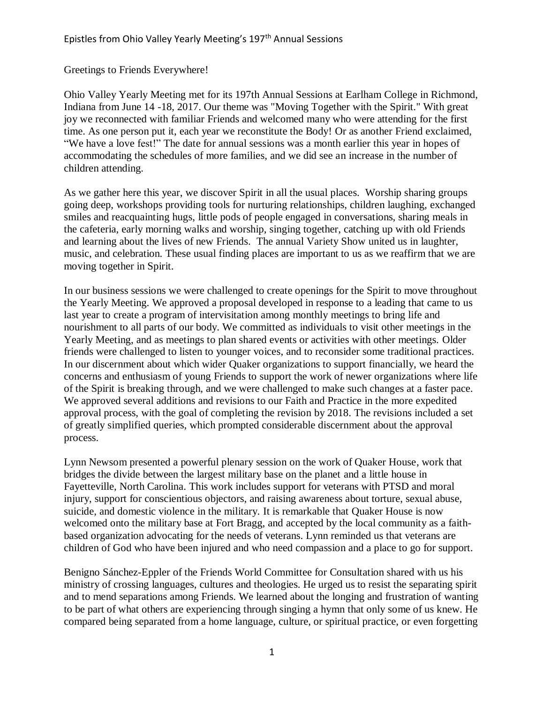Greetings to Friends Everywhere!

Ohio Valley Yearly Meeting met for its 197th Annual Sessions at Earlham College in Richmond, Indiana from June 14 -18, 2017. Our theme was "Moving Together with the Spirit." With great joy we reconnected with familiar Friends and welcomed many who were attending for the first time. As one person put it, each year we reconstitute the Body! Or as another Friend exclaimed, "We have a love fest!" The date for annual sessions was a month earlier this year in hopes of accommodating the schedules of more families, and we did see an increase in the number of children attending.

As we gather here this year, we discover Spirit in all the usual places. Worship sharing groups going deep, workshops providing tools for nurturing relationships, children laughing, exchanged smiles and reacquainting hugs, little pods of people engaged in conversations, sharing meals in the cafeteria, early morning walks and worship, singing together, catching up with old Friends and learning about the lives of new Friends. The annual Variety Show united us in laughter, music, and celebration. These usual finding places are important to us as we reaffirm that we are moving together in Spirit.

In our business sessions we were challenged to create openings for the Spirit to move throughout the Yearly Meeting. We approved a proposal developed in response to a leading that came to us last year to create a program of intervisitation among monthly meetings to bring life and nourishment to all parts of our body. We committed as individuals to visit other meetings in the Yearly Meeting, and as meetings to plan shared events or activities with other meetings. Older friends were challenged to listen to younger voices, and to reconsider some traditional practices. In our discernment about which wider Quaker organizations to support financially, we heard the concerns and enthusiasm of young Friends to support the work of newer organizations where life of the Spirit is breaking through, and we were challenged to make such changes at a faster pace. We approved several additions and revisions to our Faith and Practice in the more expedited approval process, with the goal of completing the revision by 2018. The revisions included a set of greatly simplified queries, which prompted considerable discernment about the approval process.

Lynn Newsom presented a powerful plenary session on the work of Quaker House, work that bridges the divide between the largest military base on the planet and a little house in Fayetteville, North Carolina. This work includes support for veterans with PTSD and moral injury, support for conscientious objectors, and raising awareness about torture, sexual abuse, suicide, and domestic violence in the military. It is remarkable that Quaker House is now welcomed onto the military base at Fort Bragg, and accepted by the local community as a faithbased organization advocating for the needs of veterans. Lynn reminded us that veterans are children of God who have been injured and who need compassion and a place to go for support.

Benigno Sánchez-Eppler of the Friends World Committee for Consultation shared with us his ministry of crossing languages, cultures and theologies. He urged us to resist the separating spirit and to mend separations among Friends. We learned about the longing and frustration of wanting to be part of what others are experiencing through singing a hymn that only some of us knew. He compared being separated from a home language, culture, or spiritual practice, or even forgetting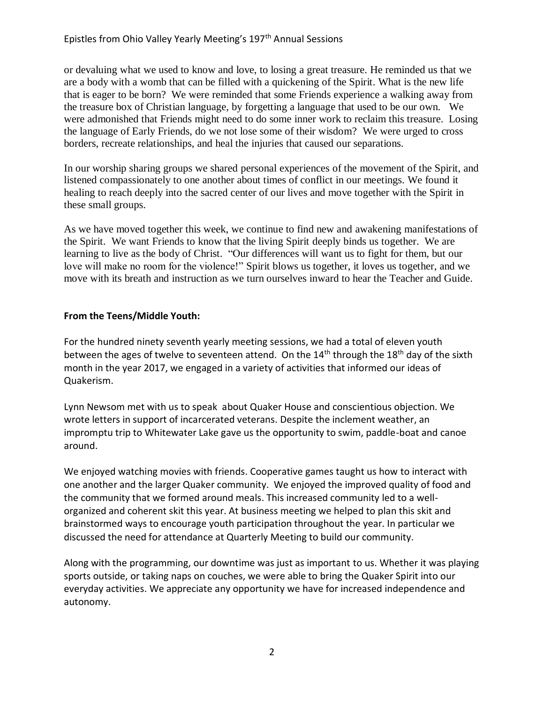or devaluing what we used to know and love, to losing a great treasure. He reminded us that we are a body with a womb that can be filled with a quickening of the Spirit. What is the new life that is eager to be born? We were reminded that some Friends experience a walking away from the treasure box of Christian language, by forgetting a language that used to be our own. We were admonished that Friends might need to do some inner work to reclaim this treasure. Losing the language of Early Friends, do we not lose some of their wisdom? We were urged to cross borders, recreate relationships, and heal the injuries that caused our separations.

In our worship sharing groups we shared personal experiences of the movement of the Spirit, and listened compassionately to one another about times of conflict in our meetings. We found it healing to reach deeply into the sacred center of our lives and move together with the Spirit in these small groups.

As we have moved together this week, we continue to find new and awakening manifestations of the Spirit. We want Friends to know that the living Spirit deeply binds us together. We are learning to live as the body of Christ. "Our differences will want us to fight for them, but our love will make no room for the violence!" Spirit blows us together, it loves us together, and we move with its breath and instruction as we turn ourselves inward to hear the Teacher and Guide.

## **From the Teens/Middle Youth:**

For the hundred ninety seventh yearly meeting sessions, we had a total of eleven youth between the ages of twelve to seventeen attend. On the  $14<sup>th</sup>$  through the  $18<sup>th</sup>$  day of the sixth month in the year 2017, we engaged in a variety of activities that informed our ideas of Quakerism.

Lynn Newsom met with us to speak about Quaker House and conscientious objection. We wrote letters in support of incarcerated veterans. Despite the inclement weather, an impromptu trip to Whitewater Lake gave us the opportunity to swim, paddle-boat and canoe around.

We enjoyed watching movies with friends. Cooperative games taught us how to interact with one another and the larger Quaker community. We enjoyed the improved quality of food and the community that we formed around meals. This increased community led to a wellorganized and coherent skit this year. At business meeting we helped to plan this skit and brainstormed ways to encourage youth participation throughout the year. In particular we discussed the need for attendance at Quarterly Meeting to build our community.

Along with the programming, our downtime was just as important to us. Whether it was playing sports outside, or taking naps on couches, we were able to bring the Quaker Spirit into our everyday activities. We appreciate any opportunity we have for increased independence and autonomy.